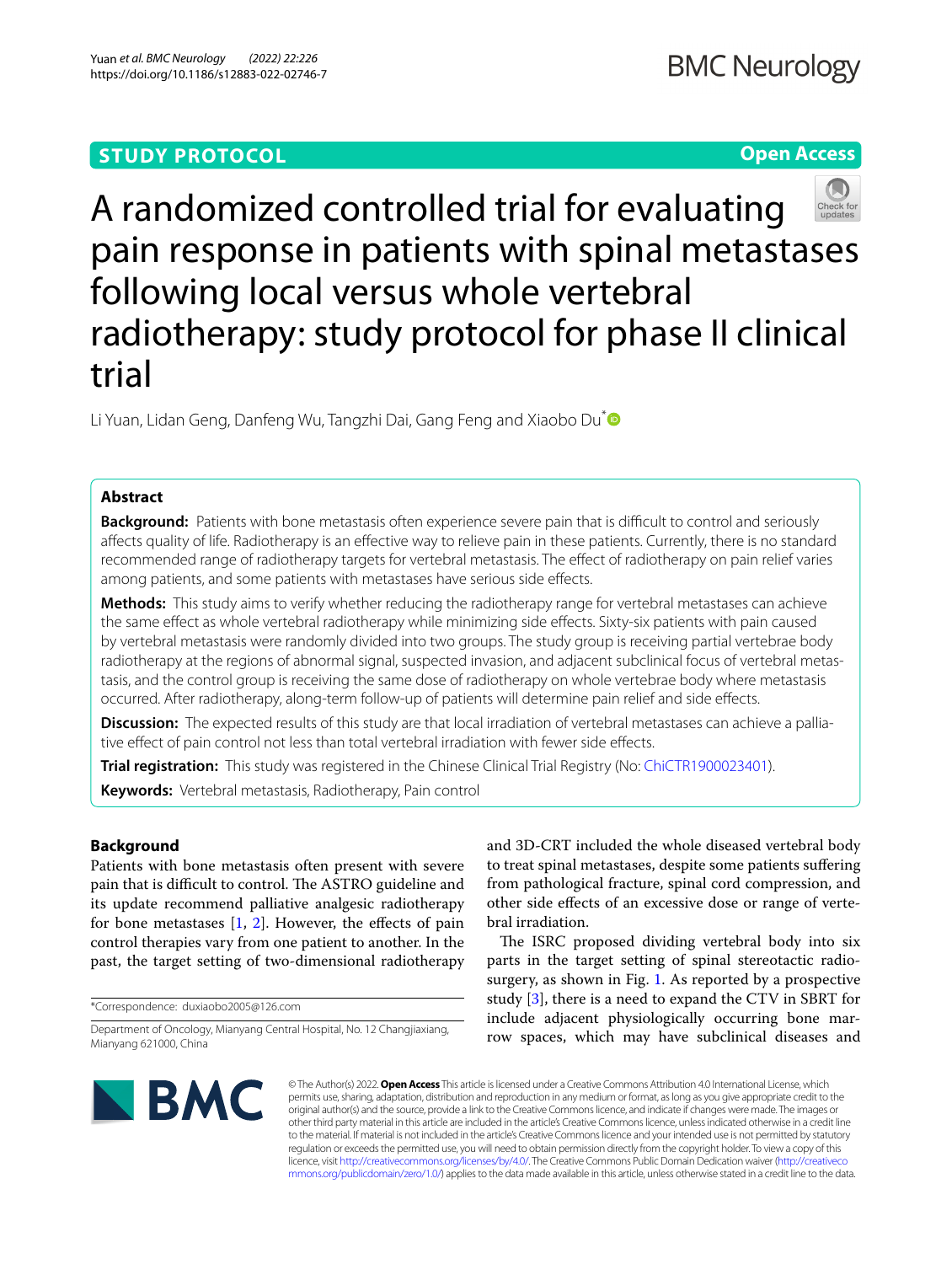# **STUDY PROTOCOL**

## **Open Access**



A randomized controlled trial for evaluating pain response in patients with spinal metastases following local versus whole vertebral radiotherapy: study protocol for phase II clinical trial

Li Yuan, Lidan Geng, Danfeng Wu, Tangzhi Dai, Gang Feng and Xiaobo Du<sup>\*</sup>

## **Abstract**

**Background:** Patients with bone metastasis often experience severe pain that is difficult to control and seriously afects quality of life. Radiotherapy is an efective way to relieve pain in these patients. Currently, there is no standard recommended range of radiotherapy targets for vertebral metastasis. The efect of radiotherapy on pain relief varies among patients, and some patients with metastases have serious side efects.

**Methods:** This study aims to verify whether reducing the radiotherapy range for vertebral metastases can achieve the same efect as whole vertebral radiotherapy while minimizing side efects. Sixty-six patients with pain caused by vertebral metastasis were randomly divided into two groups. The study group is receiving partial vertebrae body radiotherapy at the regions of abnormal signal, suspected invasion, and adjacent subclinical focus of vertebral metastasis, and the control group is receiving the same dose of radiotherapy on whole vertebrae body where metastasis occurred. After radiotherapy, along-term follow-up of patients will determine pain relief and side efects.

**Discussion:** The expected results of this study are that local irradiation of vertebral metastases can achieve a palliative efect of pain control not less than total vertebral irradiation with fewer side efects.

**Trial registration:** This study was registered in the Chinese Clinical Trial Registry (No: [ChiCTR1900023401\)](https://www.chictr.org.cn/showprojen.aspx?proj=37800).

**Keywords:** Vertebral metastasis, Radiotherapy, Pain control

## **Background**

Patients with bone metastasis often present with severe pain that is difficult to control. The ASTRO guideline and its update recommend palliative analgesic radiotherapy for bone metastases  $[1, 2]$  $[1, 2]$  $[1, 2]$  $[1, 2]$ . However, the effects of pain control therapies vary from one patient to another. In the past, the target setting of two-dimensional radiotherapy

\*Correspondence: duxiaobo2005@126.com

and 3D-CRT included the whole diseased vertebral body to treat spinal metastases, despite some patients sufering from pathological fracture, spinal cord compression, and other side efects of an excessive dose or range of vertebral irradiation.

The ISRC proposed dividing vertebral body into six parts in the target setting of spinal stereotactic radiosurgery, as shown in Fig. [1](#page-1-0). As reported by a prospective study [[3\]](#page-4-2), there is a need to expand the CTV in SBRT for include adjacent physiologically occurring bone marrow spaces, which may have subclinical diseases and



© The Author(s) 2022. **Open Access** This article is licensed under a Creative Commons Attribution 4.0 International License, which permits use, sharing, adaptation, distribution and reproduction in any medium or format, as long as you give appropriate credit to the original author(s) and the source, provide a link to the Creative Commons licence, and indicate if changes were made. The images or other third party material in this article are included in the article's Creative Commons licence, unless indicated otherwise in a credit line to the material. If material is not included in the article's Creative Commons licence and your intended use is not permitted by statutory regulation or exceeds the permitted use, you will need to obtain permission directly from the copyright holder. To view a copy of this licence, visit [http://creativecommons.org/licenses/by/4.0/.](http://creativecommons.org/licenses/by/4.0/) The Creative Commons Public Domain Dedication waiver ([http://creativeco](http://creativecommons.org/publicdomain/zero/1.0/) [mmons.org/publicdomain/zero/1.0/](http://creativecommons.org/publicdomain/zero/1.0/)) applies to the data made available in this article, unless otherwise stated in a credit line to the data.

Department of Oncology, Mianyang Central Hospital, No. 12 Changjiaxiang, Mianyang 621000, China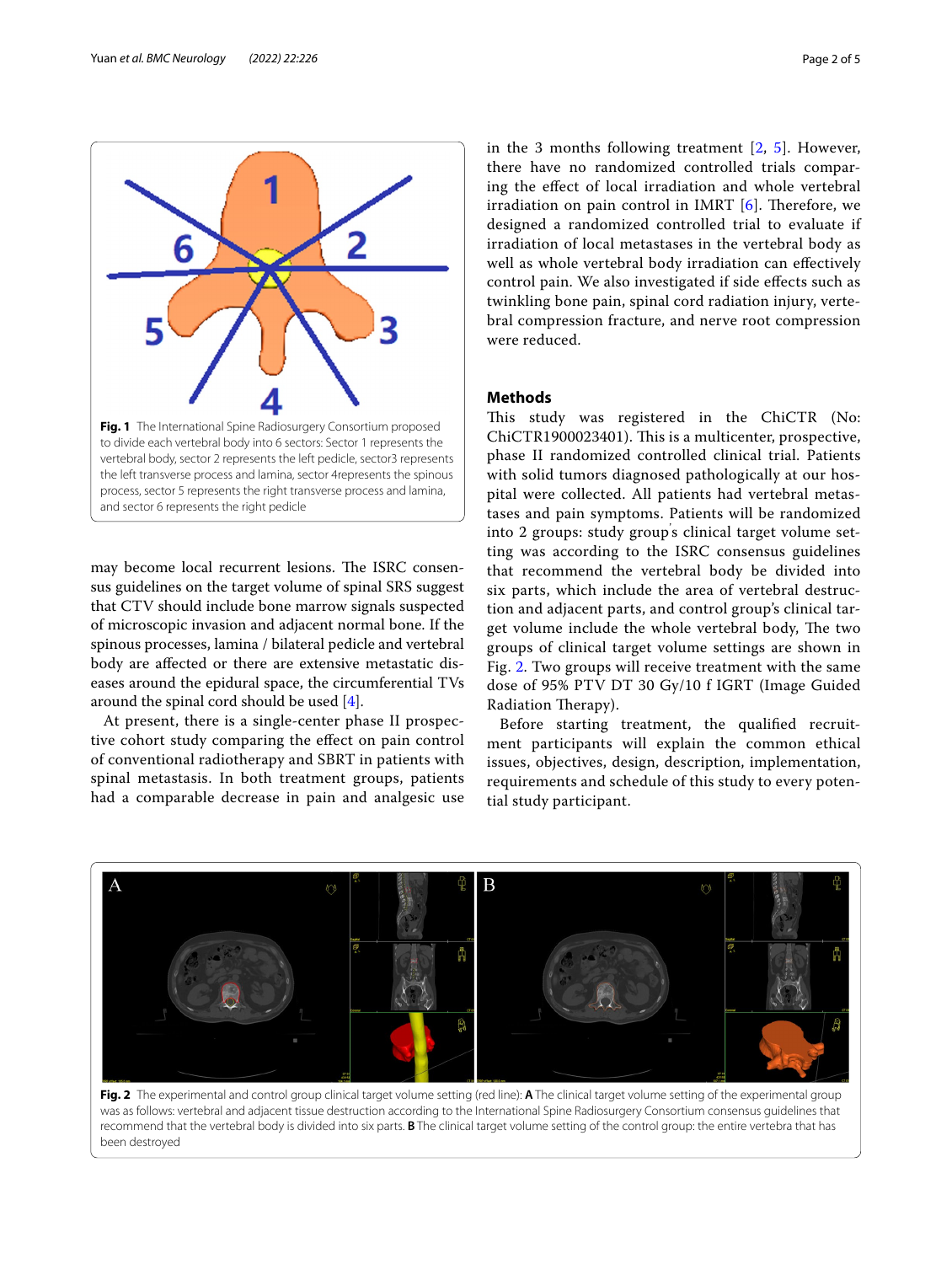

<span id="page-1-0"></span>may become local recurrent lesions. The ISRC consensus guidelines on the target volume of spinal SRS suggest that CTV should include bone marrow signals suspected of microscopic invasion and adjacent normal bone. If the spinous processes, lamina / bilateral pedicle and vertebral body are afected or there are extensive metastatic diseases around the epidural space, the circumferential TVs around the spinal cord should be used [\[4](#page-4-3)].

At present, there is a single-center phase II prospective cohort study comparing the efect on pain control of conventional radiotherapy and SBRT in patients with spinal metastasis. In both treatment groups, patients had a comparable decrease in pain and analgesic use in the 3 months following treatment [[2,](#page-4-1) [5](#page-4-4)]. However, there have no randomized controlled trials comparing the efect of local irradiation and whole vertebral irradiation on pain control in IMRT  $[6]$ . Therefore, we designed a randomized controlled trial to evaluate if irradiation of local metastases in the vertebral body as well as whole vertebral body irradiation can efectively control pain. We also investigated if side efects such as twinkling bone pain, spinal cord radiation injury, vertebral compression fracture, and nerve root compression were reduced.

### **Methods**

This study was registered in the ChiCTR (No: ChiCTR1900023401). This is a multicenter, prospective, phase II randomized controlled clinical trial. Patients with solid tumors diagnosed pathologically at our hospital were collected. All patients had vertebral metastases and pain symptoms. Patients will be randomized into 2 groups: study group' s clinical target volume setting was according to the ISRC consensus guidelines that recommend the vertebral body be divided into six parts, which include the area of vertebral destruction and adjacent parts, and control group's clinical target volume include the whole vertebral body, The two groups of clinical target volume settings are shown in Fig. [2.](#page-1-1) Two groups will receive treatment with the same dose of 95% PTV DT 30 Gy/10 f IGRT (Image Guided Radiation Therapy).

Before starting treatment, the qualifed recruitment participants will explain the common ethical issues, objectives, design, description, implementation, requirements and schedule of this study to every potential study participant.



<span id="page-1-1"></span>**Fig. 2** The experimental and control group clinical target volume setting (red line): **A** The clinical target volume setting of the experimental group was as follows: vertebral and adjacent tissue destruction according to the International Spine Radiosurgery Consortium consensus guidelines that recommend that the vertebral body is divided into six parts. **B** The clinical target volume setting of the control group: the entire vertebra that has been destroyed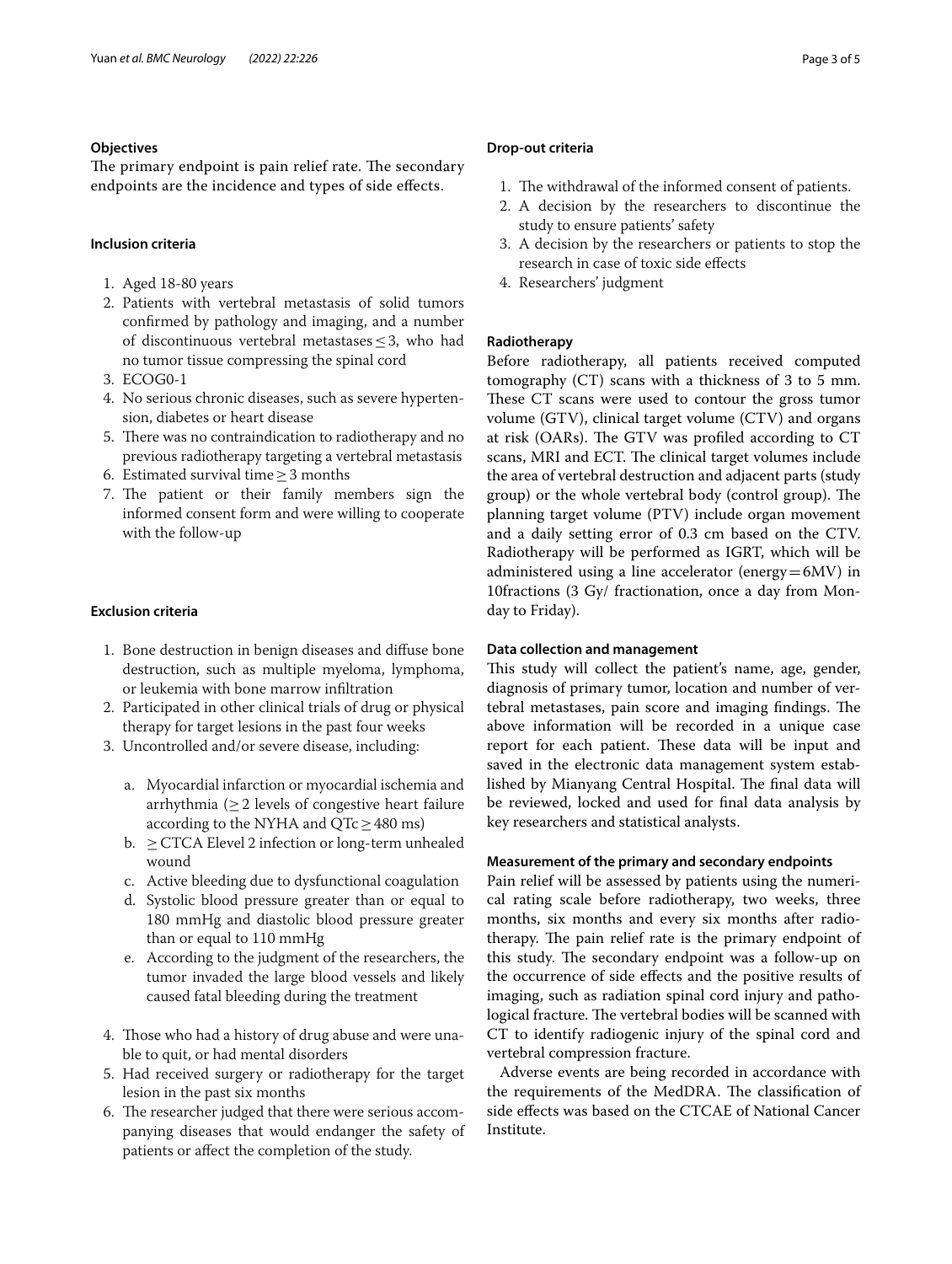### **Objectives**

The primary endpoint is pain relief rate. The secondary endpoints are the incidence and types of side efects.

### **Inclusion criteria**

- 1. Aged 18-80 years
- 2. Patients with vertebral metastasis of solid tumors confrmed by pathology and imaging, and a number of discontinuous vertebral metastases  $\leq$  3, who had no tumor tissue compressing the spinal cord
- 3. ECOG0-1
- 4. No serious chronic diseases, such as severe hypertension, diabetes or heart disease
- 5. There was no contraindication to radiotherapy and no previous radiotherapy targeting a vertebral metastasis
- 6. Estimated survival time≥3 months
- 7. The patient or their family members sign the informed consent form and were willing to cooperate with the follow-up

### **Exclusion criteria**

- 1. Bone destruction in benign diseases and difuse bone destruction, such as multiple myeloma, lymphoma, or leukemia with bone marrow infltration
- 2. Participated in other clinical trials of drug or physical therapy for target lesions in the past four weeks
- 3. Uncontrolled and/or severe disease, including:
	- a. Myocardial infarction or myocardial ischemia and arrhythmia ( $\geq$  2 levels of congestive heart failure according to the NYHA and  $QTc \geq 480$  ms)
	- b.  $\geq$  CTCA Elevel 2 infection or long-term unhealed wound
	- c. Active bleeding due to dysfunctional coagulation
	- d. Systolic blood pressure greater than or equal to 180 mmHg and diastolic blood pressure greater than or equal to 110 mmHg
	- e. According to the judgment of the researchers, the tumor invaded the large blood vessels and likely caused fatal bleeding during the treatment
- 4. Those who had a history of drug abuse and were unable to quit, or had mental disorders
- 5. Had received surgery or radiotherapy for the target lesion in the past six months
- 6. The researcher judged that there were serious accompanying diseases that would endanger the safety of patients or afect the completion of the study.

## **Drop‑out criteria**

- 1. The withdrawal of the informed consent of patients.
- 2. A decision by the researchers to discontinue the study to ensure patients' safety
- 3. A decision by the researchers or patients to stop the research in case of toxic side efects
- 4. Researchers' judgment

### **Radiotherapy**

Before radiotherapy, all patients received computed tomography (CT) scans with a thickness of 3 to 5 mm. These CT scans were used to contour the gross tumor volume (GTV), clinical target volume (CTV) and organs at risk (OARs). The GTV was profiled according to CT scans, MRI and ECT. The clinical target volumes include the area of vertebral destruction and adjacent parts (study group) or the whole vertebral body (control group). The planning target volume (PTV) include organ movement and a daily setting error of 0.3 cm based on the CTV. Radiotherapy will be performed as IGRT, which will be administered using a line accelerator (energy=6MV) in 10fractions (3 Gy/ fractionation, once a day from Monday to Friday).

### **Data collection and management**

This study will collect the patient's name, age, gender, diagnosis of primary tumor, location and number of vertebral metastases, pain score and imaging findings. The above information will be recorded in a unique case report for each patient. These data will be input and saved in the electronic data management system established by Mianyang Central Hospital. The final data will be reviewed, locked and used for fnal data analysis by key researchers and statistical analysts.

### **Measurement of the primary and secondary endpoints**

Pain relief will be assessed by patients using the numerical rating scale before radiotherapy, two weeks, three months, six months and every six months after radiotherapy. The pain relief rate is the primary endpoint of this study. The secondary endpoint was a follow-up on the occurrence of side efects and the positive results of imaging, such as radiation spinal cord injury and pathological fracture. The vertebral bodies will be scanned with CT to identify radiogenic injury of the spinal cord and vertebral compression fracture.

Adverse events are being recorded in accordance with the requirements of the MedDRA. The classification of side efects was based on the CTCAE of National Cancer Institute.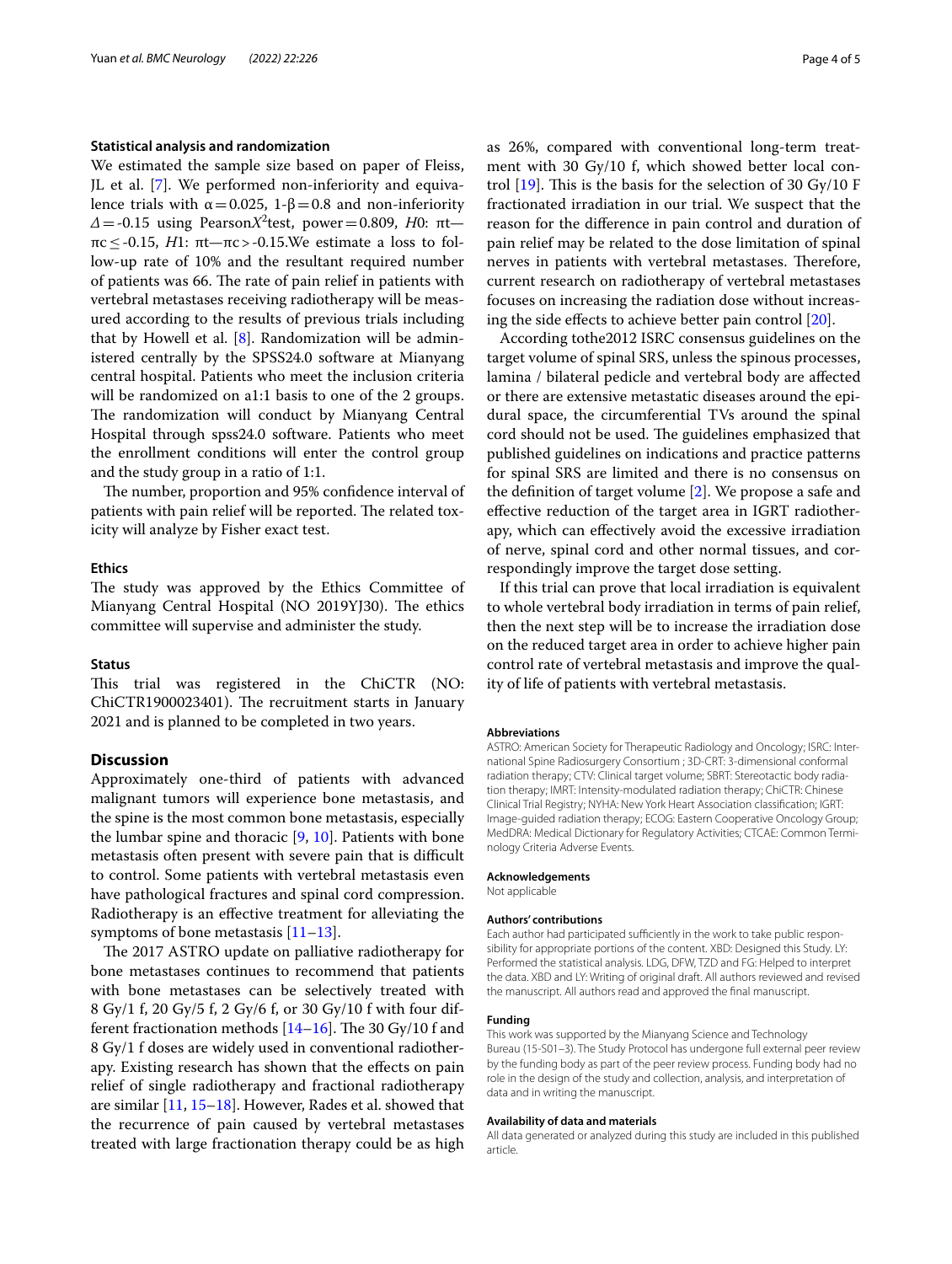### **Statistical analysis and randomization**

We estimated the sample size based on paper of Fleiss, JL et al. [\[7\]](#page-4-6). We performed non-inferiority and equivalence trials with  $\alpha = 0.025$ , 1-β=0.8 and non-inferiority  $Δ = -0.15$  using Pearson*X*<sup>2</sup>test, power=0.809, *H*0: πtπc≤-0.15, *H*1: πt—πc>-0.15.We estimate a loss to follow-up rate of 10% and the resultant required number of patients was 66. The rate of pain relief in patients with vertebral metastases receiving radiotherapy will be measured according to the results of previous trials including that by Howell et al.  $[8]$  $[8]$ . Randomization will be administered centrally by the SPSS24.0 software at Mianyang central hospital. Patients who meet the inclusion criteria will be randomized on a1:1 basis to one of the 2 groups. The randomization will conduct by Mianyang Central Hospital through spss24.0 software. Patients who meet the enrollment conditions will enter the control group and the study group in a ratio of 1:1.

The number, proportion and 95% confidence interval of patients with pain relief will be reported. The related toxicity will analyze by Fisher exact test.

### **Ethics**

The study was approved by the Ethics Committee of Mianyang Central Hospital (NO 2019YJ30). The ethics committee will supervise and administer the study.

### **Status**

This trial was registered in the ChiCTR (NO: ChiCTR1900023401). The recruitment starts in January 2021 and is planned to be completed in two years.

### **Discussion**

Approximately one-third of patients with advanced malignant tumors will experience bone metastasis, and the spine is the most common bone metastasis, especially the lumbar spine and thoracic [\[9](#page-4-8), [10\]](#page-4-9). Patients with bone metastasis often present with severe pain that is difficult to control. Some patients with vertebral metastasis even have pathological fractures and spinal cord compression. Radiotherapy is an efective treatment for alleviating the symptoms of bone metastasis  $[11-13]$  $[11-13]$ .

The 2017 ASTRO update on palliative radiotherapy for bone metastases continues to recommend that patients with bone metastases can be selectively treated with 8 Gy/1 f, 20 Gy/5 f, 2 Gy/6 f, or 30 Gy/10 f with four different fractionation methods  $[14–16]$  $[14–16]$  $[14–16]$  $[14–16]$ . The 30 Gy/10 f and 8 Gy/1 f doses are widely used in conventional radiotherapy. Existing research has shown that the efects on pain relief of single radiotherapy and fractional radiotherapy are similar [[11,](#page-4-10) [15](#page-4-14)[–18\]](#page-4-15). However, Rades et al. showed that the recurrence of pain caused by vertebral metastases treated with large fractionation therapy could be as high as 26%, compared with conventional long-term treatment with 30 Gy/10 f, which showed better local control  $[19]$  $[19]$ . This is the basis for the selection of 30 Gy/10 F fractionated irradiation in our trial. We suspect that the reason for the diference in pain control and duration of pain relief may be related to the dose limitation of spinal nerves in patients with vertebral metastases. Therefore, current research on radiotherapy of vertebral metastases focuses on increasing the radiation dose without increasing the side efects to achieve better pain control [[20](#page-4-17)].

According tothe2012 ISRC consensus guidelines on the target volume of spinal SRS, unless the spinous processes, lamina / bilateral pedicle and vertebral body are afected or there are extensive metastatic diseases around the epidural space, the circumferential TVs around the spinal cord should not be used. The guidelines emphasized that published guidelines on indications and practice patterns for spinal SRS are limited and there is no consensus on the defnition of target volume [[2](#page-4-1)]. We propose a safe and efective reduction of the target area in IGRT radiotherapy, which can efectively avoid the excessive irradiation of nerve, spinal cord and other normal tissues, and correspondingly improve the target dose setting.

If this trial can prove that local irradiation is equivalent to whole vertebral body irradiation in terms of pain relief, then the next step will be to increase the irradiation dose on the reduced target area in order to achieve higher pain control rate of vertebral metastasis and improve the quality of life of patients with vertebral metastasis.

#### **Abbreviations**

ASTRO: American Society for Therapeutic Radiology and Oncology; ISRC: International Spine Radiosurgery Consortium ; 3D-CRT: 3-dimensional conformal radiation therapy; CTV: Clinical target volume; SBRT: Stereotactic body radiation therapy; IMRT: Intensity-modulated radiation therapy; ChiCTR: Chinese Clinical Trial Registry; NYHA: New York Heart Association classifcation; IGRT: Image-guided radiation therapy; ECOG: Eastern Cooperative Oncology Group; MedDRA: Medical Dictionary for Regulatory Activities; CTCAE: Common Terminology Criteria Adverse Events.

#### **Acknowledgements**

Not applicable

#### **Authors' contributions**

Each author had participated sufficiently in the work to take public responsibility for appropriate portions of the content. XBD: Designed this Study. LY: Performed the statistical analysis. LDG, DFW, TZD and FG: Helped to interpret the data. XBD and LY: Writing of original draft. All authors reviewed and revised the manuscript. All authors read and approved the fnal manuscript.

### **Funding**

This work was supported by the Mianyang Science and Technology Bureau (15-S01–3). The Study Protocol has undergone full external peer review by the funding body as part of the peer review process. Funding body had no role in the design of the study and collection, analysis, and interpretation of data and in writing the manuscript.

#### **Availability of data and materials**

All data generated or analyzed during this study are included in this published article.